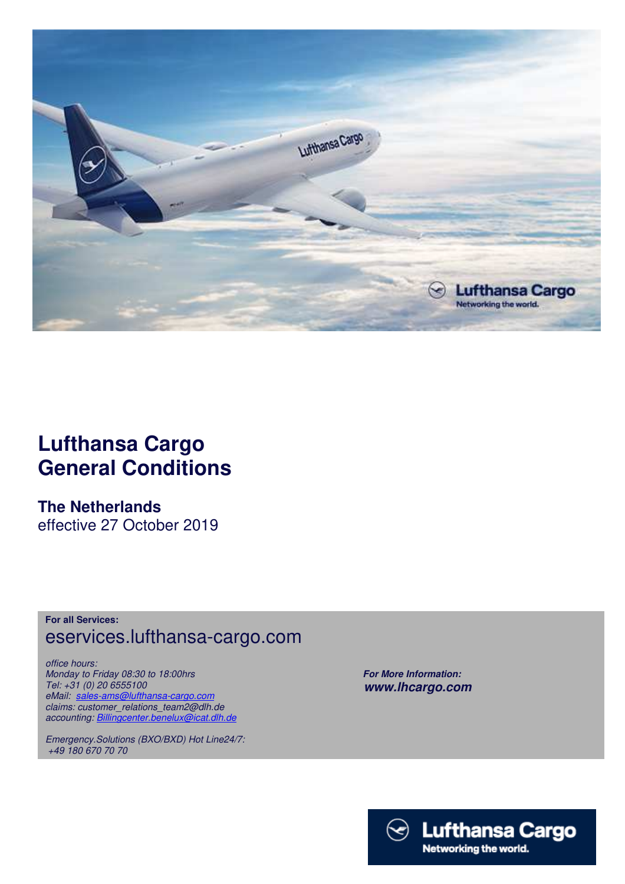

## **Lufthansa Cargo General Conditions**

**The Netherlands**  effective 27 October 2019

**For all Services:** eservices.lufthansa-cargo.com

*office hours: Monday to Friday 08:30 to 18:00hrs Tel: +31 (0) 20 6555100 eMail: sales-ams@lufthansa-cargo.com claims: customer\_relations\_team2@dlh.de accounting: Billingcenter.benelux@icat.dlh.de*

*Emergency.Solutions (BXO/BXD) Hot Line24/7: +49 180 670 70 70*

 *For More Information: www.lhcargo.com* 

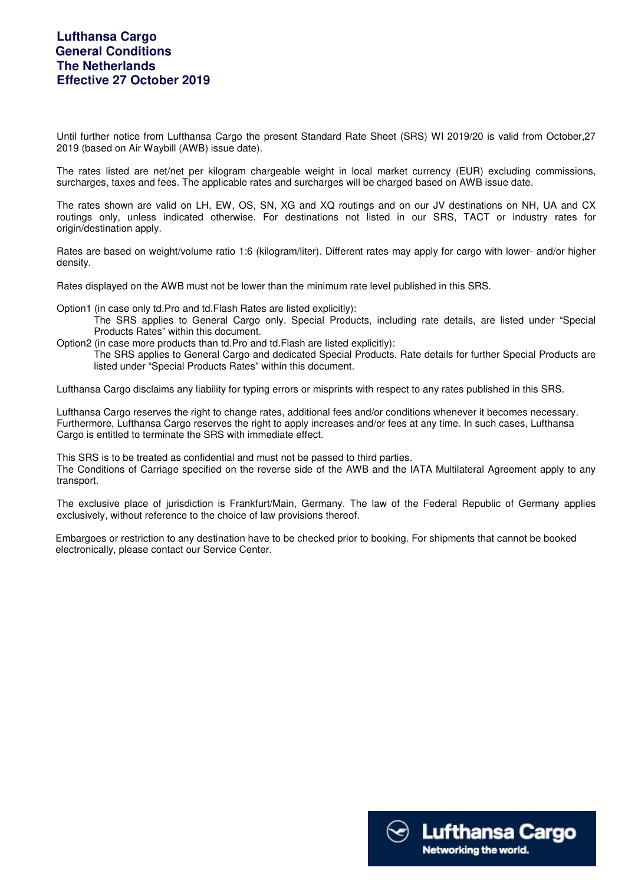Until further notice from Lufthansa Cargo the present Standard Rate Sheet (SRS) WI 2019/20 is valid from October,27 2019 (based on Air Waybill (AWB) issue date).

The rates listed are net/net per kilogram chargeable weight in local market currency (EUR) excluding commissions, surcharges, taxes and fees. The applicable rates and surcharges will be charged based on AWB issue date.

The rates shown are valid on LH, EW, OS, SN, XG and XQ routings and on our JV destinations on NH, UA and CX routings only, unless indicated otherwise. For destinations not listed in our SRS, TACT or industry rates for origin/destination apply.

Rates are based on weight/volume ratio 1:6 (kilogram/liter). Different rates may apply for cargo with lower- and/or higher density.

Rates displayed on the AWB must not be lower than the minimum rate level published in this SRS.

Option1 (in case only td.Pro and td.Flash Rates are listed explicitly):

- The SRS applies to General Cargo only. Special Products, including rate details, are listed under "Special Products Rates" within this document.
- Option2 (in case more products than td.Pro and td.Flash are listed explicitly):
	- The SRS applies to General Cargo and dedicated Special Products. Rate details for further Special Products are listed under "Special Products Rates" within this document.

Lufthansa Cargo disclaims any liability for typing errors or misprints with respect to any rates published in this SRS.

Lufthansa Cargo reserves the right to change rates, additional fees and/or conditions whenever it becomes necessary. Furthermore, Lufthansa Cargo reserves the right to apply increases and/or fees at any time. In such cases, Lufthansa Cargo is entitled to terminate the SRS with immediate effect.

This SRS is to be treated as confidential and must not be passed to third parties.

The Conditions of Carriage specified on the reverse side of the AWB and the IATA Multilateral Agreement apply to any transport.

The exclusive place of jurisdiction is Frankfurt/Main, Germany. The law of the Federal Republic of Germany applies exclusively, without reference to the choice of law provisions thereof.

 Embargoes or restriction to any destination have to be checked prior to booking. For shipments that cannot be booked electronically, please contact our Service Center.

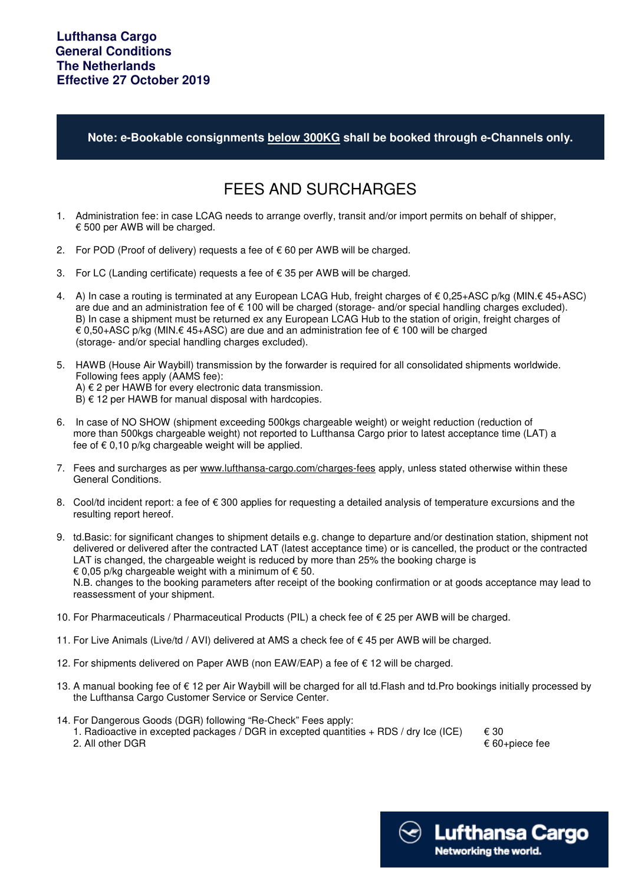**Note: e-Bookable consignments below 300KG shall be booked through e-Channels only.**

## FEES AND SURCHARGES

- 1. Administration fee: in case LCAG needs to arrange overfly, transit and/or import permits on behalf of shipper, € 500 per AWB will be charged.
- 2. For POD (Proof of delivery) requests a fee of € 60 per AWB will be charged.
- 3. For LC (Landing certificate) requests a fee of € 35 per AWB will be charged.
- 4. A) In case a routing is terminated at any European LCAG Hub, freight charges of € 0,25+ASC p/kg (MIN.€ 45+ASC) are due and an administration fee of € 100 will be charged (storage- and/or special handling charges excluded). B) In case a shipment must be returned ex any European LCAG Hub to the station of origin, freight charges of € 0,50+ASC p/kg (MIN.€ 45+ASC) are due and an administration fee of € 100 will be charged (storage- and/or special handling charges excluded).
- 5. HAWB (House Air Waybill) transmission by the forwarder is required for all consolidated shipments worldwide. Following fees apply (AAMS fee): A) € 2 per HAWB for every electronic data transmission.  $B$ )  $\in$  12 per HAWB for manual disposal with hardcopies.
- 6. In case of NO SHOW (shipment exceeding 500kgs chargeable weight) or weight reduction (reduction of more than 500kgs chargeable weight) not reported to Lufthansa Cargo prior to latest acceptance time (LAT) a fee of  $\epsilon$  0,10 p/kg chargeable weight will be applied.
- 7. Fees and surcharges as per www.lufthansa-cargo.com/charges-fees apply, unless stated otherwise within these General Conditions.
- 8. Cool/td incident report: a fee of  $\epsilon$  300 applies for requesting a detailed analysis of temperature excursions and the resulting report hereof.
- 9. td.Basic: for significant changes to shipment details e.g. change to departure and/or destination station, shipment not delivered or delivered after the contracted LAT (latest acceptance time) or is cancelled, the product or the contracted LAT is changed, the chargeable weight is reduced by more than 25% the booking charge is  $\epsilon$  0.05 p/kg chargeable weight with a minimum of  $\epsilon$  50.

 N.B. changes to the booking parameters after receipt of the booking confirmation or at goods acceptance may lead to reassessment of your shipment.

- 10. For Pharmaceuticals / Pharmaceutical Products (PIL) a check fee of € 25 per AWB will be charged.
- 11. For Live Animals (Live/td / AVI) delivered at AMS a check fee of € 45 per AWB will be charged.
- 12. For shipments delivered on Paper AWB (non EAW/EAP) a fee of € 12 will be charged.
- 13. A manual booking fee of € 12 per Air Waybill will be charged for all td.Flash and td.Pro bookings initially processed by the Lufthansa Cargo Customer Service or Service Center.
- 14. For Dangerous Goods (DGR) following "Re-Check" Fees apply:

1. Radioactive in excepted packages / DGR in excepted quantities + RDS / dry Ice (ICE)  $\epsilon$  30<br>2. All other DGR

 $\epsilon$  60+piece fee